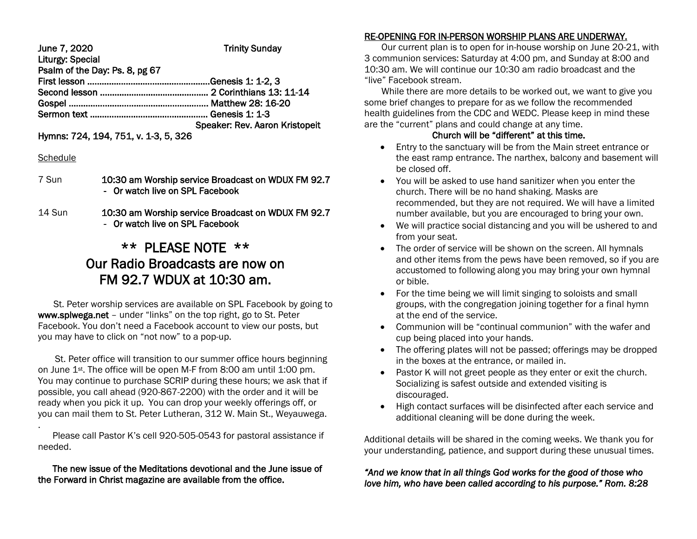| June 7, 2020                   | <b>Trinity Sunday</b>          |  |
|--------------------------------|--------------------------------|--|
| <b>Liturgy: Special</b>        |                                |  |
| Psalm of the Day: Ps. 8, pg 67 |                                |  |
|                                |                                |  |
|                                |                                |  |
|                                |                                |  |
|                                |                                |  |
|                                | Speaker: Rev. Aaron Kristopeit |  |
|                                |                                |  |

Hymns: 724, 194, 751, v. 1-3, 5, 326

#### **Schedule**

- 7 Sun 10:30 am Worship service Broadcast on WDUX FM 92.7 - Or watch live on SPL Facebook
- 14 Sun 10:30 am Worship service Broadcast on WDUX FM 92.7 - Or watch live on SPL Facebook

# \*\* PLEASE NOTE \*\* Our Radio Broadcasts are now on FM 92.7 WDUX at 10:30 am.

 St. Peter worship services are available on SPL Facebook by going to www.splwega.net – under "links" on the top right, go to St. Peter Facebook. You don't need a Facebook account to view our posts, but you may have to click on "not now" to a pop-up.

 St. Peter office will transition to our summer office hours beginning on June 1st. The office will be open M-F from 8:00 am until 1:00 pm. You may continue to purchase SCRIP during these hours; we ask that if possible, you call ahead (920-867-2200) with the order and it will be ready when you pick it up. You can drop your weekly offerings off, or you can mail them to St. Peter Lutheran, 312 W. Main St., Weyauwega.

. Please call Pastor K's cell 920-505-0543 for pastoral assistance if needed.

#### The new issue of the Meditations devotional and the June issue of the Forward in Christ magazine are available from the office.

# RE-OPENING FOR IN-PERSON WORSHIP PLANS ARE UNDERWAY.

 Our current plan is to open for in-house worship on June 20-21, with 3 communion services: Saturday at 4:00 pm, and Sunday at 8:00 and 10:30 am. We will continue our 10:30 am radio broadcast and the "live" Facebook stream.

 While there are more details to be worked out, we want to give you some brief changes to prepare for as we follow the recommended health guidelines from the CDC and WEDC. Please keep in mind these are the "current" plans and could change at any time.

# Church will be "different" at this time.

- Entry to the sanctuary will be from the Main street entrance or the east ramp entrance. The narthex, balcony and basement will be closed off.
- You will be asked to use hand sanitizer when you enter the church. There will be no hand shaking. Masks are recommended, but they are not required. We will have a limited number available, but you are encouraged to bring your own.
- We will practice social distancing and you will be ushered to and from your seat.
- The order of service will be shown on the screen. All hymnals and other items from the pews have been removed, so if you are accustomed to following along you may bring your own hymnal or bible.
- For the time being we will limit singing to soloists and small groups, with the congregation joining together for a final hymn at the end of the service.
- Communion will be "continual communion" with the wafer and cup being placed into your hands.
- The offering plates will not be passed; offerings may be dropped in the boxes at the entrance, or mailed in.
- Pastor K will not greet people as they enter or exit the church. Socializing is safest outside and extended visiting is discouraged.
- High contact surfaces will be disinfected after each service and additional cleaning will be done during the week.

Additional details will be shared in the coming weeks. We thank you for your understanding, patience, and support during these unusual times.

## *"And we know that in all things God works for the good of those who love him, who have been called according to his purpose." Rom. 8:28*